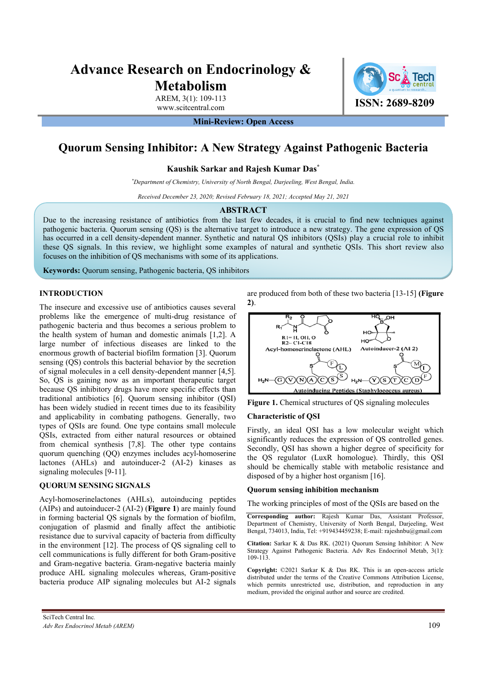# **Advance Research on Endocrinology & Metabolism**

AREM, 3(1): 109-113

**Mini-Review: Open Access** 

# **Quorum Sensing Inhibitor: A New Strategy Against Pathogenic Bacteria**

**Kaushik Sarkar and Rajesh Kumar Das\*** 

*\* Department of Chemistry, University of North Bengal, Darjeeling, West Bengal, India.*

*Received December 23, 2020; Revised February 18, 2021; Accepted May 21, 2021* 

#### **ABSTRACT**

Due to the increasing resistance of antibiotics from the last few decades, it is crucial to find new techniques against pathogenic bacteria. Quorum sensing (QS) is the alternative target to introduce a new strategy. The gene expression of QS has occurred in a cell density-dependent manner. Synthetic and natural QS inhibitors (QSIs) play a crucial role to inhibit these QS signals. In this review, we highlight some examples of natural and synthetic QSIs. This short review also focuses on the inhibition of QS mechanisms with some of its applications.

**Keywords:** Quorum sensing, Pathogenic bacteria, QS inhibitors

# **INTRODUCTION**

The insecure and excessive use of antibiotics causes several problems like the emergence of multi-drug resistance of pathogenic bacteria and thus becomes a serious problem to the health system of human and domestic animals [1,2]. A large number of infectious diseases are linked to the enormous growth of bacterial biofilm formation [3]. Quorum sensing (QS) controls this bacterial behavior by the secretion of signal molecules in a cell density-dependent manner [4,5]. So, QS is gaining now as an important therapeutic target because QS inhibitory drugs have more specific effects than traditional antibiotics [6]. Quorum sensing inhibitor (QSI) has been widely studied in recent times due to its feasibility and applicability in combating pathogens. Generally, two types of QSIs are found. One type contains small molecule QSIs, extracted from either natural resources or obtained from chemical synthesis [7,8]. The other type contains quorum quenching (QQ) enzymes includes acyl-homoserine lactones (AHLs) and autoinducer-2 (AI-2) kinases as signaling molecules [9-11].

# **QUORUM SENSING SIGNALS**

Acyl-homoserinelactones (AHLs), autoinducing peptides (AIPs) and autoinducer-2 (AI-2) (**Figure 1**) are mainly found in forming bacterial QS signals by the formation of biofilm, conjugation of plasmid and finally affect the antibiotic resistance due to survival capacity of bacteria from difficulty in the environment [12]. The process of QS signaling cell to cell communications is fully different for both Gram-positive and Gram-negative bacteria. Gram-negative bacteria mainly produce AHL signaling molecules whereas, Gram-positive bacteria produce AIP signaling molecules but AI-2 signals

are produced from both of these two bacteria [13-15] **(Figure 2)**.



**Figure 1.** Chemical structures of QS signaling molecules

# **Characteristic of QSI**

Firstly, an ideal QSI has a low molecular weight which significantly reduces the expression of QS controlled genes. Secondly, QSI has shown a higher degree of specificity for the QS regulator (LuxR homologue). Thirdly, this QSI should be chemically stable with metabolic resistance and disposed of by a higher host organism [16].

#### **Quorum sensing inhibition mechanism**

The working principles of most of the QSIs are based on the

**Corresponding author:** Rajesh Kumar Das, Assistant Professor, Department of Chemistry, University of North Bengal, Darjeeling, West Bengal, 734013, India, Tel: +919434459238; E-mail: rajeshnbu@gmail.com

**Citation:** Sarkar K & Das RK. (2021) Quorum Sensing Inhibitor: A New Strategy Against Pathogenic Bacteria. Adv Res Endocrinol Metab, 3(1): 109-113.

**Copyright:** ©2021 Sarkar K & Das RK. This is an open-access article distributed under the terms of the Creative Commons Attribution License, which permits unrestricted use, distribution, and reproduction in any medium, provided the original author and source are credited.

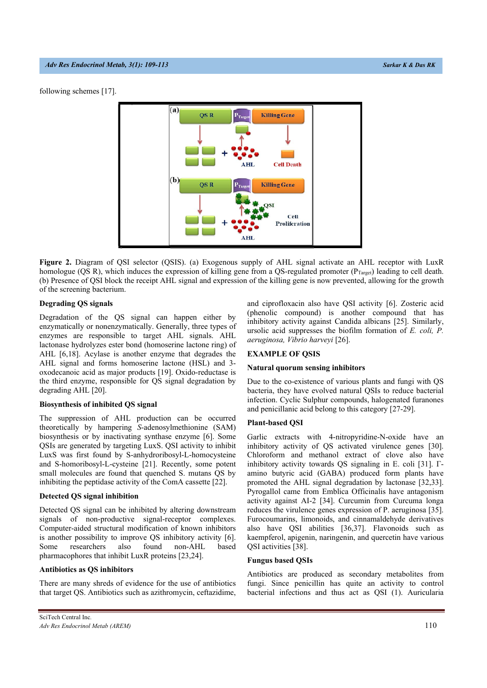following schemes [17].



**Figure 2.** Diagram of QSI selector (QSIS). (a) Exogenous supply of AHL signal activate an AHL receptor with LuxR homologue (QS R), which induces the expression of killing gene from a QS-regulated promoter ( $P_{Target}$ ) leading to cell death. (b) Presence of QSI block the receipt AHL signal and expression of the killing gene is now prevented, allowing for the growth of the screening bacterium.

# **Degrading QS signals**

Degradation of the QS signal can happen either by enzymatically or nonenzymatically. Generally, three types of enzymes are responsible to target AHL signals. AHL lactonase hydrolyzes ester bond (homoserine lactone ring) of AHL [6,18]. Acylase is another enzyme that degrades the AHL signal and forms homoserine lactone (HSL) and 3 oxodecanoic acid as major products [19]. Oxido-reductase is the third enzyme, responsible for QS signal degradation by degrading AHL [20].

#### **Biosynthesis of inhibited QS signal**

The suppression of AHL production can be occurred theoretically by hampering *S*-adenosylmethionine (SAM) biosynthesis or by inactivating synthase enzyme [6]. Some QSIs are generated by targeting LuxS. QSI activity to inhibit LuxS was first found by S-anhydroribosyl-L-homocysteine and S-homoribosyl-L-cysteine [21]. Recently, some potent small molecules are found that quenched S. mutans QS by inhibiting the peptidase activity of the ComA cassette [22].

# **Detected QS signal inhibition**

Detected QS signal can be inhibited by altering downstream signals of non-productive signal-receptor complexes. Computer-aided structural modification of known inhibitors is another possibility to improve QS inhibitory activity [6]. Some researchers also found non-AHL based pharmacophores that inhibit LuxR proteins [23,24].

# **Antibiotics as QS inhibitors**

There are many shreds of evidence for the use of antibiotics that target QS. Antibiotics such as azithromycin, ceftazidime, and ciprofloxacin also have QSI activity [6]. Zosteric acid (phenolic compound) is another compound that has inhibitory activity against Candida albicans [25]. Similarly, ursolic acid suppresses the biofilm formation of *E. coli, P. aeruginosa, Vibrio harveyi* [26].

# **EXAMPLE OF QSIS**

#### **Natural quorum sensing inhibitors**

Due to the co-existence of various plants and fungi with QS bacteria, they have evolved natural QSIs to reduce bacterial infection. Cyclic Sulphur compounds, halogenated furanones and penicillanic acid belong to this category [27-29].

#### **Plant-based QSI**

Garlic extracts with 4-nitropyridine-N-oxide have an inhibitory activity of QS activated virulence genes [30]. Chloroform and methanol extract of clove also have inhibitory activity towards QS signaling in E. coli [31]. Γamino butyric acid (GABA) produced form plants have promoted the AHL signal degradation by lactonase [32,33]. Pyrogallol came from Emblica Officinalis have antagonism activity against AI-2 [34]. Curcumin from Curcuma longa reduces the virulence genes expression of P. aeruginosa [35]. Furocoumarins, limonoids, and cinnamaldehyde derivatives also have QSI abilities [36,37]. Flavonoids such as kaempferol, apigenin, naringenin, and quercetin have various QSI activities [38].

# **Fungus based QSIs**

Antibiotics are produced as secondary metabolites from fungi. Since penicillin has quite an activity to control bacterial infections and thus act as QSI (1). Auricularia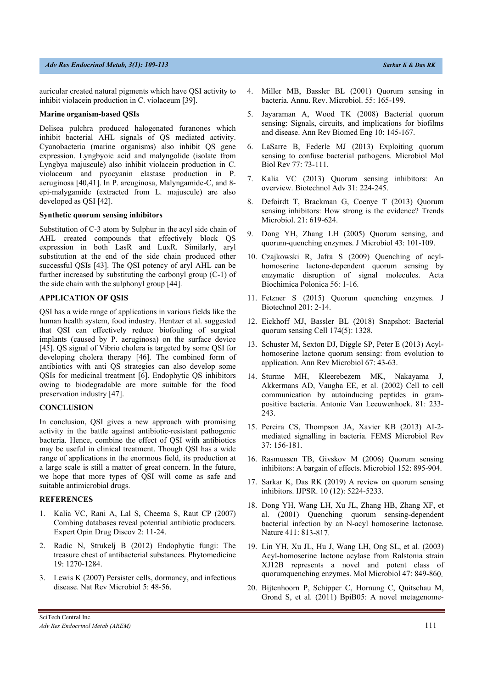# *Adv Res Endocrinol Metab, 3(1): 109-113 Sarkar K & Das RK*

auricular created natural pigments which have QSI activity to inhibit violacein production in C. violaceum [39].

# **Marine organism-based QSIs**

Delisea pulchra produced halogenated furanones which inhibit bacterial AHL signals of QS mediated activity. Cyanobacteria (marine organisms) also inhibit QS gene expression. Lyngbyoic acid and malyngolide (isolate from Lyngbya majuscule) also inhibit violacein production in C. violaceum and pyocyanin elastase production in P. aeruginosa [40,41]. In P. areuginosa, Malyngamide-C, and 8 epi-malygamide (extracted from L. majuscule) are also developed as QSI [42].

## **Synthetic quorum sensing inhibitors**

Substitution of C-3 atom by Sulphur in the acyl side chain of AHL created compounds that effectively block QS expression in both LasR and LuxR. Similarly, aryl substitution at the end of the side chain produced other successful QSIs [43]. The QSI potency of aryl AHL can be further increased by substituting the carbonyl group (C-1) of the side chain with the sulphonyl group [44].

# **APPLICATION OF QSIS**

QSI has a wide range of applications in various fields like the human health system, food industry. Hentzer et al. suggested that QSI can effectively reduce biofouling of surgical implants (caused by P. aeruginosa) on the surface device [45]. QS signal of Vibrio cholera is targeted by some QSI for developing cholera therapy [46]. The combined form of antibiotics with anti QS strategies can also develop some QSIs for medicinal treatment [6]. Endophytic QS inhibitors owing to biodegradable are more suitable for the food preservation industry [47].

#### **CONCLUSION**

In conclusion, QSI gives a new approach with promising activity in the battle against antibiotic-resistant pathogenic bacteria. Hence, combine the effect of QSI with antibiotics may be useful in clinical treatment. Though QSI has a wide range of applications in the enormous field, its production at a large scale is still a matter of great concern. In the future, we hope that more types of QSI will come as safe and suitable antimicrobial drugs.

#### **REFERENCES**

- 1. Kalia VC, Rani A, Lal S, Cheema S, Raut CP (2007) Combing databases reveal potential antibiotic producers. Expert Opin Drug Discov 2: 11-24.
- 2. Radic N, Strukelj B (2012) Endophytic fungi: The treasure chest of antibacterial substances. Phytomedicine 19: 1270-1284.
- 3. Lewis K (2007) Persister cells, dormancy, and infectious disease. Nat Rev Microbiol 5: 48-56.
- 4. Miller MB, Bassler BL (2001) Quorum sensing in bacteria. Annu. Rev. Microbiol. 55: 165-199.
- 5. Jayaraman A, Wood TK (2008) Bacterial quorum sensing: Signals, circuits, and implications for biofilms and disease. Ann Rev Biomed Eng 10: 145-167.
- 6. LaSarre B, Federle MJ (2013) Exploiting quorum sensing to confuse bacterial pathogens. Microbiol Mol Biol Rev 77: 73-111.
- 7. Kalia VC (2013) Quorum sensing inhibitors: An overview. Biotechnol Adv 31: 224-245.
- 8. Defoirdt T, Brackman G, Coenye T (2013) Quorum sensing inhibitors: How strong is the evidence? Trends Microbiol. 21: 619-624.
- 9. Dong YH, Zhang LH (2005) Quorum sensing, and quorum-quenching enzymes. J Microbiol 43: 101-109.
- 10. Czajkowski R, Jafra S (2009) Quenching of acylhomoserine lactone-dependent quorum sensing by enzymatic disruption of signal molecules. Acta Biochimica Polonica 56: 1-16.
- 11. Fetzner S (2015) Quorum quenching enzymes. J Biotechnol 201: 2-14.
- 12. Eickhoff MJ, Bassler BL (2018) Snapshot: Bacterial quorum sensing Cell 174(5): 1328.
- 13. Schuster M, Sexton DJ, Diggle SP, Peter E (2013) Acylhomoserine lactone quorum sensing: from evolution to application. Ann Rev Microbiol 67: 43-63.
- 14. Sturme MH, Kleerebezem MK, Nakayama J, Akkermans AD, Vaugha EE, et al. (2002) Cell to cell communication by autoinducing peptides in grampositive bacteria. Antonie Van Leeuwenhoek. 81: 233- 243.
- 15. Pereira CS, Thompson JA, Xavier KB (2013) AI-2 mediated signalling in bacteria. FEMS Microbiol Rev 37: 156-181.
- 16. Rasmussen TB, Givskov M (2006) Quorum sensing inhibitors: A bargain of effects. Microbiol 152: 895-904.
- 17. Sarkar K, Das RK (2019) A review on quorum sensing inhibitors. IJPSR. 10 (12): 5224-5233.
- 18. Dong YH, Wang LH, Xu JL, Zhang HB, Zhang XF, et al. (2001) Quenching quorum sensing-dependent bacterial infection by an N-acyl homoserine lactonase. Nature 411: 813-817.
- 19. Lin YH, Xu JL, Hu J, Wang LH, Ong SL, et al. (2003) Acyl-homoserine lactone acylase from Ralstonia strain XJ12B represents a novel and potent class of quorumquenching enzymes. Mol Microbiol 47: 849-860.
- 20. Bijtenhoorn P, Schipper C, Hornung C, Quitschau M, Grond S, et al. (2011) BpiB05: A novel metagenome-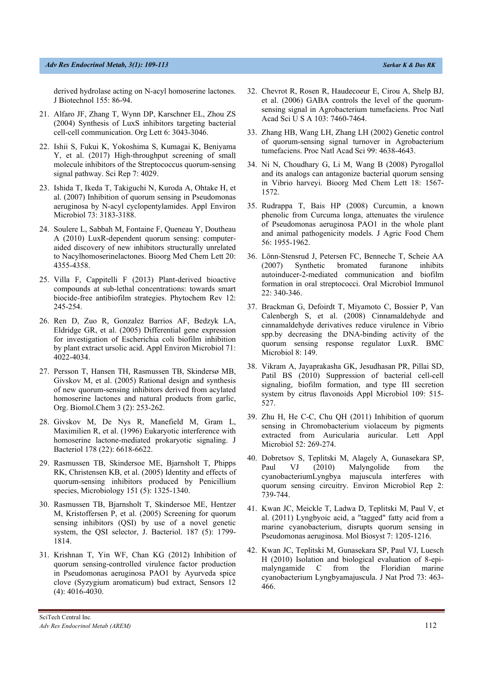# *Adv Res Endocrinol Metab, 3(1): 109-113 Sarkar K & Das RK*

derived hydrolase acting on N-acyl homoserine lactones. J Biotechnol 155: 86-94.

- 21. Alfaro JF, Zhang T, Wynn DP, Karschner EL, Zhou ZS (2004) Synthesis of LuxS inhibitors targeting bacterial cell-cell communication. Org Lett 6: 3043-3046.
- 22. Ishii S, Fukui K, Yokoshima S, Kumagai K, Beniyama Y, et al. (2017) High-throughput screening of small molecule inhibitors of the Streptococcus quorum-sensing signal pathway. Sci Rep 7: 4029.
- 23. Ishida T, Ikeda T, Takiguchi N, Kuroda A, Ohtake H, et al. (2007) Inhibition of quorum sensing in Pseudomonas aeruginosa by N-acyl cyclopentylamides. Appl Environ Microbiol 73: 3183-3188.
- 24. Soulere L, Sabbah M, Fontaine F, Queneau Y, Doutheau A (2010) LuxR-dependent quorum sensing: computeraided discovery of new inhibitors structurally unrelated to Nacylhomoserinelactones. Bioorg Med Chem Lett 20: 4355-4358.
- 25. Villa F, Cappitelli F (2013) Plant-derived bioactive compounds at sub-lethal concentrations: towards smart biocide-free antibiofilm strategies. Phytochem Rev 12: 245-254.
- 26. Ren D, Zuo R, Gonzalez Barrios AF, Bedzyk LA, Eldridge GR, et al. (2005) Differential gene expression for investigation of Escherichia coli biofilm inhibition by plant extract ursolic acid. Appl Environ Microbiol 71: 4022-4034.
- 27. Persson T, Hansen TH, Rasmussen TB, Skindersø MB, Givskov M, et al. (2005) Rational design and synthesis of new quorum-sensing inhibitors derived from acylated homoserine lactones and natural products from garlic, Org. Biomol.Chem 3 (2): 253-262.
- 28. Givskov M, De Nys R, Manefield M, Gram L, Maximilien R, et al. (1996) Eukaryotic interference with homoserine lactone-mediated prokaryotic signaling. J Bacteriol 178 (22): 6618-6622.
- 29. Rasmussen TB, Skindersoe ME, Bjarnsholt T, Phipps RK, Christensen KB, et al. (2005) Identity and effects of quorum-sensing inhibitors produced by Penicillium species, Microbiology 151 (5): 1325-1340.
- 30. Rasmussen TB, Bjarnsholt T, Skindersoe ME, Hentzer M, Kristoffersen P, et al. (2005) Screening for quorum sensing inhibitors (QSI) by use of a novel genetic system, the QSI selector, J. Bacteriol. 187 (5): 1799- 1814.
- 31. Krishnan T, Yin WF, Chan KG (2012) Inhibition of quorum sensing-controlled virulence factor production in Pseudomonas aeruginosa PAO1 by Ayurveda spice clove (Syzygium aromaticum) bud extract, Sensors 12 (4): 4016-4030.
- 32. Chevrot R, Rosen R, Haudecoeur E, Cirou A, Shelp BJ, et al. (2006) GABA controls the level of the quorumsensing signal in Agrobacterium tumefaciens. Proc Natl Acad Sci U S A 103: 7460-7464.
- 33. Zhang HB, Wang LH, Zhang LH (2002) Genetic control of quorum-sensing signal turnover in Agrobacterium tumefaciens. Proc Natl Acad Sci 99: 4638-4643.
- 34. Ni N, Choudhary G, Li M, Wang B (2008) Pyrogallol and its analogs can antagonize bacterial quorum sensing in Vibrio harveyi. Bioorg Med Chem Lett 18: 1567- 1572.
- 35. Rudrappa T, Bais HP (2008) Curcumin, a known phenolic from Curcuma longa, attenuates the virulence of Pseudomonas aeruginosa PAO1 in the whole plant and animal pathogenicity models. J Agric Food Chem 56: 1955-1962.
- 36. Lönn-Stensrud J, Petersen FC, Benneche T, Scheie AA (2007) Synthetic bromated furanone inhibits autoinducer-2-mediated communication and biofilm formation in oral streptococci. Oral Microbiol Immunol 22: 340-346.
- 37. Brackman G, Defoirdt T, Miyamoto C, Bossier P, Van Calenbergh S, et al. (2008) Cinnamaldehyde and cinnamaldehyde derivatives reduce virulence in Vibrio spp.by decreasing the DNA-binding activity of the quorum sensing response regulator LuxR. BMC Microbiol 8: 149.
- 38. Vikram A, Jayaprakasha GK, Jesudhasan PR, Pillai SD, Patil BS (2010) Suppression of bacterial cell-cell signaling, biofilm formation, and type III secretion system by citrus flavonoids Appl Microbiol 109: 515- 527.
- 39. Zhu H, He C-C, Chu QH (2011) Inhibition of quorum sensing in Chromobacterium violaceum by pigments extracted from Auricularia auricular. Lett Appl Microbiol 52: 269-274.
- 40. Dobretsov S, Teplitski M, Alagely A, Gunasekara SP, Paul VJ (2010) Malyngolide from the cyanobacteriumLyngbya majuscula interferes with quorum sensing circuitry. Environ Microbiol Rep 2: 739-744.
- 41. Kwan JC, Meickle T, Ladwa D, Teplitski M, Paul V, et al. (2011) Lyngbyoic acid, a "tagged" fatty acid from a marine cyanobacterium, disrupts quorum sensing in Pseudomonas aeruginosa. Mol Biosyst 7: 1205-1216.
- 42. Kwan JC, Teplitski M, Gunasekara SP, Paul VJ, Luesch H (2010) Isolation and biological evaluation of 8-epimalyngamide C from the Floridian marine cyanobacterium Lyngbyamajuscula. J Nat Prod 73: 463- 466.